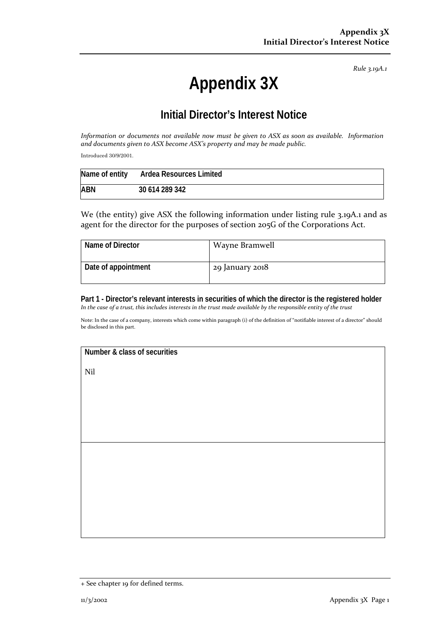*Rule 3.19A.1*

## **Appendix 3X**

## **Initial Director's Interest Notice**

*Information or documents not available now must be given to ASX as soon as available. Information and documents given to ASX become ASX's property and may be made public.*

Introduced 30/9/2001.

|            | Name of entity Ardea Resources Limited |
|------------|----------------------------------------|
| <b>ABN</b> | 30 614 289 342                         |

We (the entity) give ASX the following information under listing rule 3.19A.1 and as agent for the director for the purposes of section 205G of the Corporations Act.

| Name of Director    | Wayne Bramwell  |
|---------------------|-----------------|
| Date of appointment | 29 January 2018 |

**Part 1 - Director's relevant interests in securities of which the director is the registered holder** *In the case of a trust, this includes interests in the trust made available by the responsible entity of the trust*

Note: In the case of a company, interests which come within paragraph (i) of the definition of "notifiable interest of a director" should be disclosed in this part.

**Number & class of securities**

Nil

<sup>+</sup> See chapter 19 for defined terms.